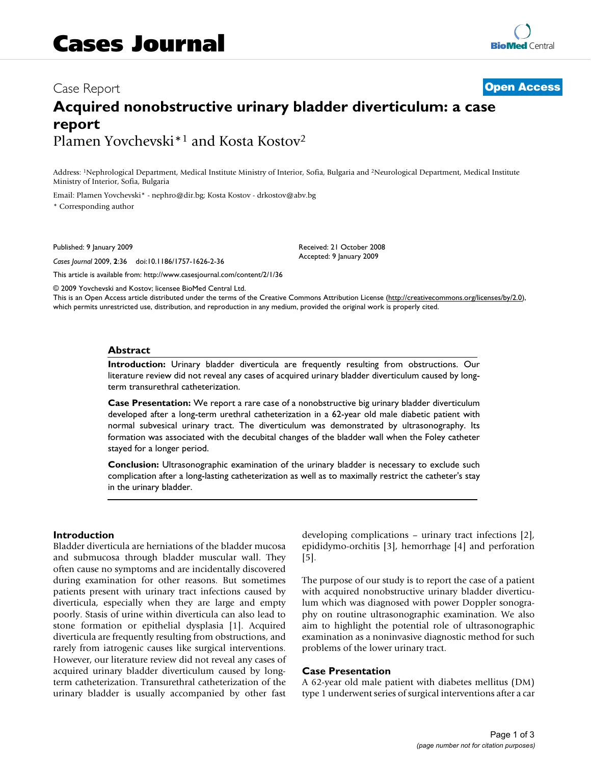# Case Report **[Open Access](http://www.biomedcentral.com/info/about/charter/) Acquired nonobstructive urinary bladder diverticulum: a case report** Plamen Yovchevski\*1 and Kosta Kostov2

Address: 1Nephrological Department, Medical Institute Ministry of Interior, Sofia, Bulgaria and 2Neurological Department, Medical Institute Ministry of Interior, Sofia, Bulgaria

Email: Plamen Yovchevski\* - nephro@dir.bg; Kosta Kostov - drkostov@abv.bg

\* Corresponding author

Published: 9 January 2009

*Cases Journal* 2009, **2**:36 doi:10.1186/1757-1626-2-36

[This article is available from: http://www.casesjournal.com/content/2/1/36](http://www.casesjournal.com/content/2/1/36)

© 2009 Yovchevski and Kostov; licensee BioMed Central Ltd.

This is an Open Access article distributed under the terms of the Creative Commons Attribution License [\(http://creativecommons.org/licenses/by/2.0\)](http://creativecommons.org/licenses/by/2.0), which permits unrestricted use, distribution, and reproduction in any medium, provided the original work is properly cited.

Received: 21 October 2008 Accepted: 9 January 2009

#### **Abstract**

**Introduction:** Urinary bladder diverticula are frequently resulting from obstructions. Our literature review did not reveal any cases of acquired urinary bladder diverticulum caused by longterm transurethral catheterization.

**Case Presentation:** We report a rare case of a nonobstructive big urinary bladder diverticulum developed after a long-term urethral catheterization in a 62-year old male diabetic patient with normal subvesical urinary tract. The diverticulum was demonstrated by ultrasonography. Its formation was associated with the decubital changes of the bladder wall when the Foley catheter stayed for a longer period.

**Conclusion:** Ultrasonographic examination of the urinary bladder is necessary to exclude such complication after a long-lasting catheterization as well as to maximally restrict the catheter's stay in the urinary bladder.

# **Introduction**

Bladder diverticula are herniations of the bladder mucosa and submucosa through bladder muscular wall. They often cause no symptoms and are incidentally discovered during examination for other reasons. But sometimes patients present with urinary tract infections caused by diverticula, especially when they are large and empty poorly. Stasis of urine within diverticula can also lead to stone formation or epithelial dysplasia [1]. Acquired diverticula are frequently resulting from obstructions, and rarely from iatrogenic causes like surgical interventions. However, our literature review did not reveal any cases of acquired urinary bladder diverticulum caused by longterm catheterization. Transurethral catheterization of the urinary bladder is usually accompanied by other fast developing complications – urinary tract infections [2], epididymo-orchitis [3], hemorrhage [4] and perforation [5].

The purpose of our study is to report the case of a patient with acquired nonobstructive urinary bladder diverticulum which was diagnosed with power Doppler sonography on routine ultrasonographic examination. We also aim to highlight the potential role of ultrasonographic examination as a noninvasive diagnostic method for such problems of the lower urinary tract.

# **Case Presentation**

A 62-year old male patient with diabetes mellitus (DM) type 1 underwent series of surgical interventions after a car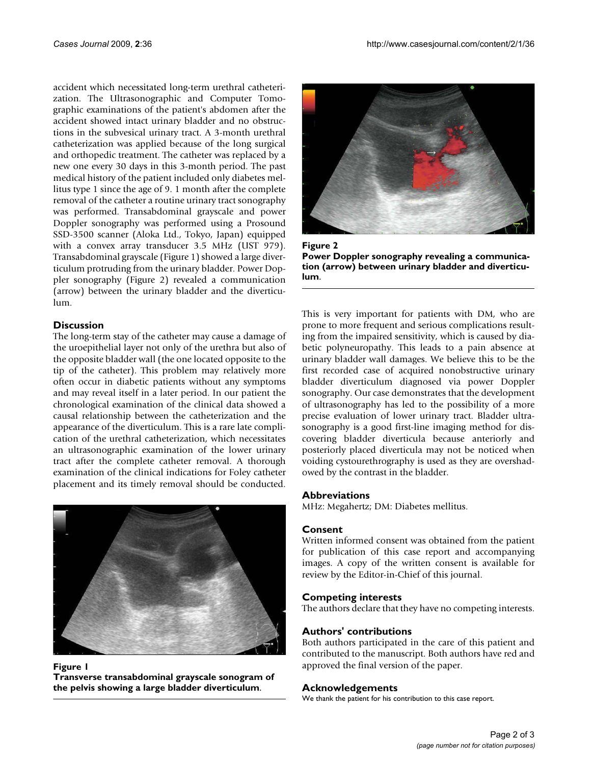accident which necessitated long-term urethral catheterization. The Ultrasonographic and Computer Tomographic examinations of the patient's abdomen after the accident showed intact urinary bladder and no obstructions in the subvesical urinary tract. A 3-month urethral catheterization was applied because of the long surgical and orthopedic treatment. The catheter was replaced by a new one every 30 days in this 3-month period. The past medical history of the patient included only diabetes mellitus type 1 since the age of 9. 1 month after the complete removal of the catheter a routine urinary tract sonography was performed. Transabdominal grayscale and power Doppler sonography was performed using a Prosound SSD-3500 scanner (Aloka Ltd., Tokyo, Japan) equipped with a convex array transducer 3.5 MHz (UST 979). Transabdominal grayscale (Figure 1) showed a large diverticulum protruding from the urinary bladder. Power Doppler sonography (Figure 2) revealed a communication (arrow) between the urinary bladder and the diverticulum.

# **Discussion**

The long-term stay of the catheter may cause a damage of the uroepithelial layer not only of the urethra but also of the opposite bladder wall (the one located opposite to the tip of the catheter). This problem may relatively more often occur in diabetic patients without any symptoms and may reveal itself in a later period. In our patient the chronological examination of the clinical data showed a causal relationship between the catheterization and the appearance of the diverticulum. This is a rare late complication of the urethral catheterization, which necessitates an ultrasonographic examination of the lower urinary tract after the complete catheter removal. A thorough examination of the clinical indications for Foley catheter placement and its timely removal should be conducted.



# Figure 1

**Transverse transabdominal grayscale sonogram of the pelvis showing a large bladder diverticulum**.



**Figure 2 Power Doppler sonography revealing a communication (arrow) between urinary bladder and diverticulum**.

This is very important for patients with DM, who are prone to more frequent and serious complications resulting from the impaired sensitivity, which is caused by diabetic polyneuropathy. This leads to a pain absence at urinary bladder wall damages. We believe this to be the first recorded case of acquired nonobstructive urinary bladder diverticulum diagnosed via power Doppler sonography. Our case demonstrates that the development of ultrasonography has led to the possibility of a more precise evaluation of lower urinary tract. Bladder ultrasonography is a good first-line imaging method for discovering bladder diverticula because anteriorly and posteriorly placed diverticula may not be noticed when voiding cystourethrography is used as they are overshadowed by the contrast in the bladder.

# **Abbreviations**

MHz: Megahertz; DM: Diabetes mellitus.

# **Consent**

Written informed consent was obtained from the patient for publication of this case report and accompanying images. A copy of the written consent is available for review by the Editor-in-Chief of this journal.

# **Competing interests**

The authors declare that they have no competing interests.

# **Authors' contributions**

Both authors participated in the care of this patient and contributed to the manuscript. Both authors have red and approved the final version of the paper.

# **Acknowledgements**

We thank the patient for his contribution to this case report.